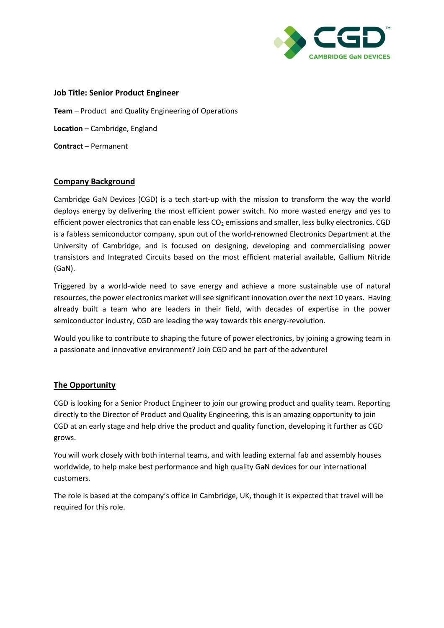

### **Job Title: Senior Product Engineer**

**Team** – Product and Quality Engineering of Operations **Location** – Cambridge, England **Contract** – Permanent

## **Company Background**

Cambridge GaN Devices (CGD) is a tech start-up with the mission to transform the way the world deploys energy by delivering the most efficient power switch. No more wasted energy and yes to efficient power electronics that can enable less CO<sub>2</sub> emissions and smaller, less bulky electronics. CGD is a fabless semiconductor company, spun out of the world-renowned Electronics Department at the University of Cambridge, and is focused on designing, developing and commercialising power transistors and Integrated Circuits based on the most efficient material available, Gallium Nitride (GaN).

Triggered by a world-wide need to save energy and achieve a more sustainable use of natural resources, the power electronics market will see significant innovation over the next 10 years. Having already built a team who are leaders in their field, with decades of expertise in the power semiconductor industry, CGD are leading the way towards this energy-revolution.

Would you like to contribute to shaping the future of power electronics, by joining a growing team in a passionate and innovative environment? Join CGD and be part of the adventure!

## **The Opportunity**

CGD is looking for a Senior Product Engineer to join our growing product and quality team. Reporting directly to the Director of Product and Quality Engineering, this is an amazing opportunity to join CGD at an early stage and help drive the product and quality function, developing it further as CGD grows.

You will work closely with both internal teams, and with leading external fab and assembly houses worldwide, to help make best performance and high quality GaN devices for our international customers.

The role is based at the company's office in Cambridge, UK, though it is expected that travel will be required for this role.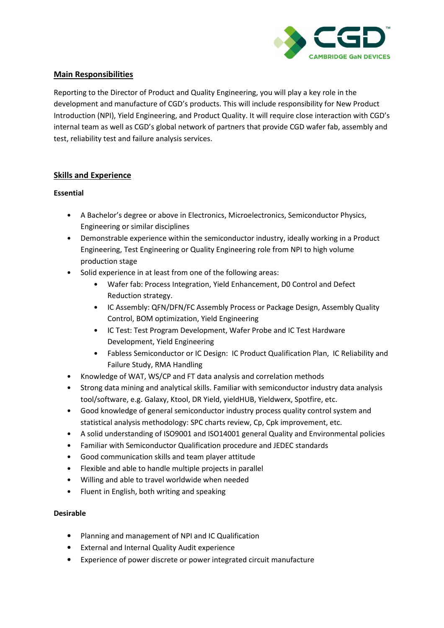

# **Main Responsibilities**

Reporting to the Director of Product and Quality Engineering, you will play a key role in the development and manufacture of CGD's products. This will include responsibility for New Product Introduction (NPI), Yield Engineering, and Product Quality. It will require close interaction with CGD's internal team as well as CGD's global network of partners that provide CGD wafer fab, assembly and test, reliability test and failure analysis services.

# **Skills and Experience**

## **Essential**

- A Bachelor's degree or above in Electronics, Microelectronics, Semiconductor Physics, Engineering or similar disciplines
- Demonstrable experience within the semiconductor industry, ideally working in a Product Engineering, Test Engineering or Quality Engineering role from NPI to high volume production stage
- Solid experience in at least from one of the following areas:
	- Wafer fab: Process Integration, Yield Enhancement, D0 Control and Defect Reduction strategy.
	- IC Assembly: QFN/DFN/FC Assembly Process or Package Design, Assembly Quality Control, BOM optimization, Yield Engineering
	- IC Test: Test Program Development, Wafer Probe and IC Test Hardware Development, Yield Engineering
	- Fabless Semiconductor or IC Design: IC Product Qualification Plan, IC Reliability and Failure Study, RMA Handling
- Knowledge of WAT, WS/CP and FT data analysis and correlation methods
- Strong data mining and analytical skills. Familiar with semiconductor industry data analysis tool/software, e.g. Galaxy, Ktool, DR Yield, yieldHUB, Yieldwerx, Spotfire, etc.
- Good knowledge of general semiconductor industry process quality control system and statistical analysis methodology: SPC charts review, Cp, Cpk improvement, etc.
- A solid understanding of ISO9001 and ISO14001 general Quality and Environmental policies
- Familiar with Semiconductor Qualification procedure and JEDEC standards
- Good communication skills and team player attitude
- Flexible and able to handle multiple projects in parallel
- Willing and able to travel worldwide when needed
- Fluent in English, both writing and speaking

## **Desirable**

- Planning and management of NPI and IC Qualification
- External and Internal Quality Audit experience
- Experience of power discrete or power integrated circuit manufacture